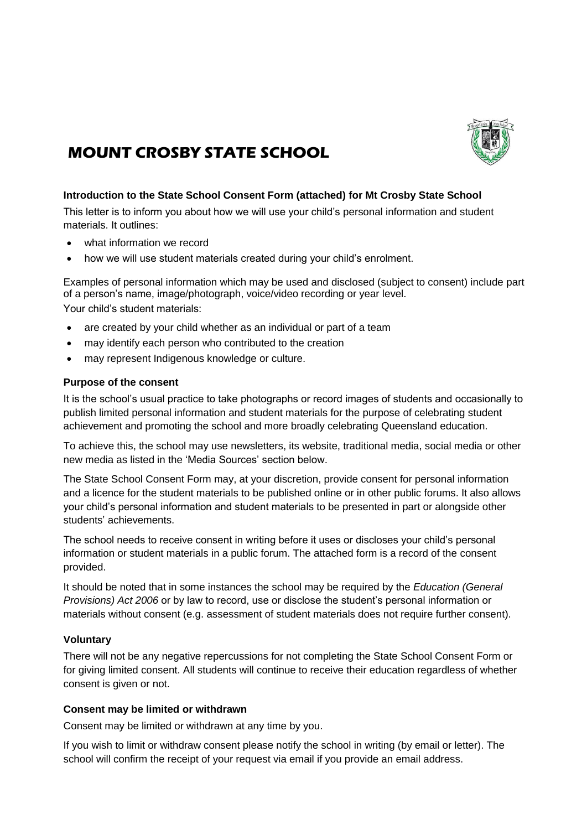

# **MOUNT CROSBY STATE SCHOOL**

# **Introduction to the State School Consent Form (attached) for Mt Crosby State School**

This letter is to inform you about how we will use your child's personal information and student materials. It outlines:

- what information we record
- how we will use student materials created during your child's enrolment.

Examples of personal information which may be used and disclosed (subject to consent) include part of a person's name, image/photograph, voice/video recording or year level. Your child's student materials:

- are created by your child whether as an individual or part of a team
- may identify each person who contributed to the creation
- may represent Indigenous knowledge or culture.

# **Purpose of the consent**

It is the school's usual practice to take photographs or record images of students and occasionally to publish limited personal information and student materials for the purpose of celebrating student achievement and promoting the school and more broadly celebrating Queensland education.

To achieve this, the school may use newsletters, its website, traditional media, social media or other new media as listed in the 'Media Sources' section below.

The State School Consent Form may, at your discretion, provide consent for personal information and a licence for the student materials to be published online or in other public forums. It also allows your child's personal information and student materials to be presented in part or alongside other students' achievements.

The school needs to receive consent in writing before it uses or discloses your child's personal information or student materials in a public forum. The attached form is a record of the consent provided.

It should be noted that in some instances the school may be required by the *Education (General Provisions) Act 2006* or by law to record, use or disclose the student's personal information or materials without consent (e.g. assessment of student materials does not require further consent).

# **Voluntary**

There will not be any negative repercussions for not completing the State School Consent Form or for giving limited consent. All students will continue to receive their education regardless of whether consent is given or not.

# **Consent may be limited or withdrawn**

Consent may be limited or withdrawn at any time by you.

If you wish to limit or withdraw consent please notify the school in writing (by email or letter). The school will confirm the receipt of your request via email if you provide an email address.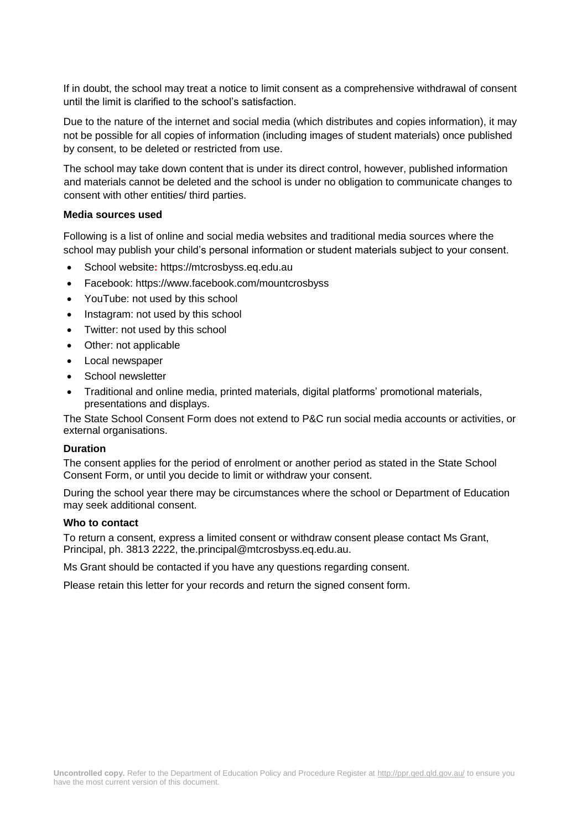If in doubt, the school may treat a notice to limit consent as a comprehensive withdrawal of consent until the limit is clarified to the school's satisfaction.

Due to the nature of the internet and social media (which distributes and copies information), it may not be possible for all copies of information (including images of student materials) once published by consent, to be deleted or restricted from use.

The school may take down content that is under its direct control, however, published information and materials cannot be deleted and the school is under no obligation to communicate changes to consent with other entities/ third parties.

#### **Media sources used**

Following is a list of online and social media websites and traditional media sources where the school may publish your child's personal information or student materials subject to your consent.

- School website**:** https://mtcrosbyss.eq.edu.au
- Facebook: https://www.facebook.com/mountcrosbyss
- YouTube: not used by this school
- Instagram: not used by this school
- Twitter: not used by this school
- Other: not applicable
- Local newspaper
- School newsletter
- Traditional and online media, printed materials, digital platforms' promotional materials, presentations and displays.

The State School Consent Form does not extend to P&C run social media accounts or activities, or external organisations.

#### **Duration**

The consent applies for the period of enrolment or another period as stated in the State School Consent Form, or until you decide to limit or withdraw your consent.

During the school year there may be circumstances where the school or Department of Education may seek additional consent.

#### **Who to contact**

To return a consent, express a limited consent or withdraw consent please contact Ms Grant, Principal, ph. 3813 2222, the.principal@mtcrosbyss.eq.edu.au.

Ms Grant should be contacted if you have any questions regarding consent.

Please retain this letter for your records and return the signed consent form.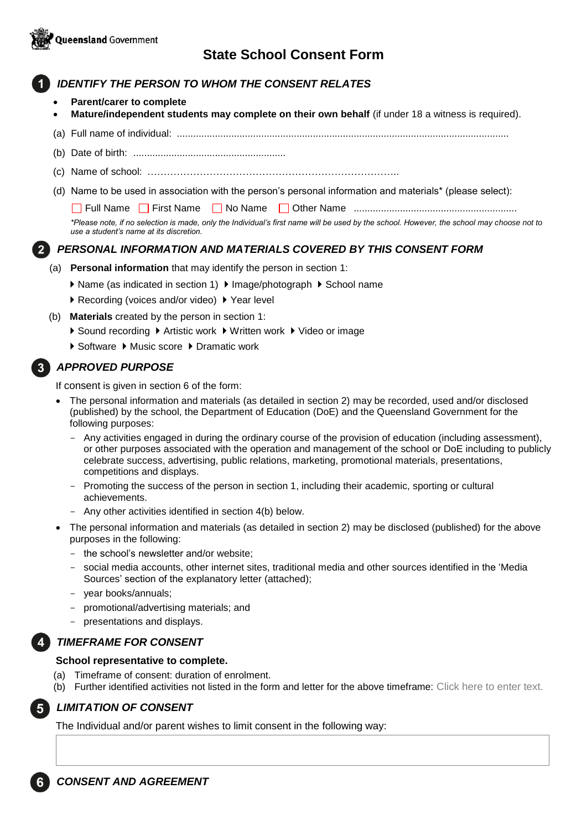

# **State School Consent Form**

# *IDENTIFY THE PERSON TO WHOM THE CONSENT RELATES*

- **Parent/carer to complete**
- **Mature/independent students may complete on their own behalf** (if under 18 a witness is required).
- (a) Full name of individual: ..........................................................................................................................
- (b) Date of birth: ........................................................
- (c) Name of school: …………………………………………………………………..
- (d) Name to be used in association with the person's personal information and materials\* (please select):

Full Name First Name No Name Other Name ............................................................

*\*Please note, if no selection is made, only the Individual's first name will be used by the school. However, the school may choose not to use a student's name at its discretion.*

# *PERSONAL INFORMATION AND MATERIALS COVERED BY THIS CONSENT FORM*

- (a) **Personal information** that may identify the person in section 1:
	- ▶ Name (as indicated in section 1) ▶ Image/photograph ▶ School name
	- ▶ Recording (voices and/or video) ▶ Year level
- (b) **Materials** created by the person in section 1:
	- ▶ Sound recording ▶ Artistic work ▶ Written work ▶ Video or image
	- ▶ Software ▶ Music score ▶ Dramatic work

# *APPROVED PURPOSE*

If consent is given in section 6 of the form:

- The personal information and materials (as detailed in section 2) may be recorded, used and/or disclosed (published) by the school, the Department of Education (DoE) and the Queensland Government for the following purposes:
	- Any activities engaged in during the ordinary course of the provision of education (including assessment), or other purposes associated with the operation and management of the school or DoE including to publicly celebrate success, advertising, public relations, marketing, promotional materials, presentations, competitions and displays.
	- Promoting the success of the person in section 1, including their academic, sporting or cultural achievements.
	- Any other activities identified in section 4(b) below.
- The personal information and materials (as detailed in section 2) may be disclosed (published) for the above purposes in the following:
	- the school's newsletter and/or website;
	- social media accounts, other internet sites, traditional media and other sources identified in the 'Media Sources' section of the explanatory letter (attached);
	- year books/annuals;
	- promotional/advertising materials; and
	- presentations and displays.

# *TIMEFRAME FOR CONSENT*

#### **School representative to complete.**

- (a) Timeframe of consent: duration of enrolment.
- (b) Further identified activities not listed in the form and letter for the above timeframe: Click here to enter text.



*LIMITATION OF CONSENT* 

The Individual and/or parent wishes to limit consent in the following way: